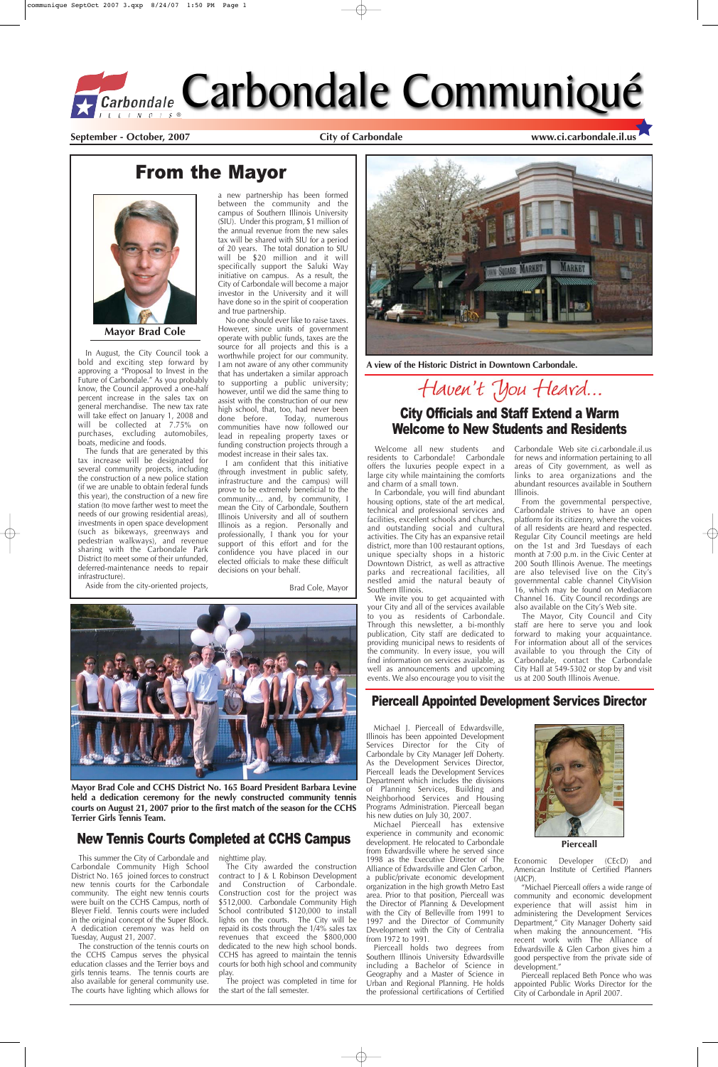# New Tennis Courts Completed at CCHS Campus

#### **September - October, 2007 City of Carbondale www.ci.carbondale.il.us**

# From the Mayor



Welcome all new students and residents to Carbondale! Carbondale offers the luxuries people expect in a large city while maintaining the comforts and charm of a small town.

In Carbondale, you will find abundant housing options, state of the art medical, technical and professional services and facilities, excellent schools and churches, and outstanding social and cultural activities. The City has an expansive retail district, more than 100 restaurant options, unique specialty shops in a historic Downtown District, as well as attractive parks and recreational facilities, all nestled amid the natural beauty of Southern Illinois.

We invite you to get acquainted with your City and all of the services available to you as residents of Carbondale. Through this newsletter, a bi-monthly publication, City staff are dedicated to providing municipal news to residents of the community. In every issue, you will find information on services available, as well as announcements and upcoming events. We also encourage you to visit the

Carbondale Web site ci.carbondale.il.us for news and information pertaining to all areas of City government, as well as links to area organizations and the abundant resources available in Southern Illinois.

From the governmental perspective, Carbondale strives to have an open platform for its citizenry, where the voices of all residents are heard and respected. Regular City Council meetings are held on the 1st and 3rd Tuesdays of each month at 7:00 p.m. in the Civic Center at 200 South Illinois Avenue. The meetings are also televised live on the City's governmental cable channel CityVision 16, which may be found on Mediacom Channel 16. City Council recordings are also available on the City's Web site.

The Mayor, City Council and City staff are here to serve you and look forward to making your acquaintance. For information about all of the services available to you through the City of Carbondale, contact the Carbondale City Hall at 549-5302 or stop by and visit us at 200 South Illinois Avenue.

### City Officials and Staff Extend a Warm Welcome to New Students and Residents

In August, the City Council took a bold and exciting step forward by approving a "Proposal to Invest in the Future of Carbondale." As you probably know, the Council approved a one-half percent increase in the sales tax on general merchandise. The new tax rate will take effect on January 1, 2008 and will be collected at 7.75% on purchases, excluding automobiles, boats, medicine and foods.

The funds that are generated by this tax increase will be designated for several community projects, including the construction of a new police station (if we are unable to obtain federal funds this year), the construction of a new fire station (to move farther west to meet the needs of our growing residential areas), investments in open space development (such as bikeways, greenways and pedestrian walkways), and revenue sharing with the Carbondale Park District (to meet some of their unfunded, deferred-maintenance needs to repair infrastructure).

Aside from the city-oriented projects,

a new partnership has been formed between the community and the campus of Southern Illinois University (SIU). Under this program, \$1 million of the annual revenue from the new sales tax will be shared with SIU for a period of 20 years. The total donation to SIU will be \$20 million and it will specifically support the Saluki Way initiative on campus. As a result, the City of Carbondale will become a major investor in the University and it will have done so in the spirit of cooperation and true partnership.

No one should ever like to raise taxes. However, since units of government operate with public funds, taxes are the source for all projects and this is a worthwhile project for our community. I am not aware of any other community that has undertaken a similar approach to supporting a public university; however, until we did the same thing to assist with the construction of our new high school, that, too, had never been done before. Today, numerous communities have now followed our lead in repealing property taxes or funding construction projects through a modest increase in their sales tax.

I am confident that this initiative (through investment in public safety, infrastructure and the campus) will prove to be extremely beneficial to the community… and, by community, I mean the City of Carbondale, Southern Illinois University and all of southern Illinois as a region. Personally and professionally, I thank you for your support of this effort and for the confidence you have placed in our elected officials to make these difficult decisions on your behalf.

Brad Cole, Mayor





**Mayor Brad Cole**

**Mayor Brad Cole and CCHS District No. 165 Board President Barbara Levine held a dedication ceremony for the newly constructed community tennis courts on August 21, 2007 prior to the first match of the season for the CCHS Terrier Girls Tennis Team.**

This summer the City of Carbondale and Carbondale Community High School District No. 165 joined forces to construct new tennis courts for the Carbondale community. The eight new tennis courts were built on the CCHS Campus, north of Bleyer Field. Tennis courts were included in the original concept of the Super Block. A dedication ceremony was held on Tuesday, August 21, 2007.

The construction of the tennis courts on the CCHS Campus serves the physical education classes and the Terrier boys and girls tennis teams. The tennis courts are also available for general community use. The courts have lighting which allows for nighttime play.

The City awarded the construction contract to J & L Robinson Development and Construction of Carbondale. Construction cost for the project was \$512,000. Carbondale Community High School contributed \$120,000 to install lights on the courts. The City will be repaid its costs through the 1/4% sales tax revenues that exceed the \$800,000 dedicated to the new high school bonds. CCHS has agreed to maintain the tennis courts for both high school and community play.

The project was completed in time for the start of the fall semester.

### Pierceall Appointed Development Services Director

Michael J. Pierceall of Edwardsville, Illinois has been appointed Development Services Director for the City of Carbondale by City Manager Jeff Doherty. As the Development Services Director, Pierceall leads the Development Services Department which includes the divisions of Planning Services, Building and Neighborhood Services and Housing Programs Administration. Pierceall began his new duties on July 30, 2007. Michael Pierceall has extensive experience in community and economic development. He relocated to Carbondale from Edwardsville where he served since 1998 as the Executive Director of The Alliance of Edwardsville and Glen Carbon, a public/private economic development organization in the high growth Metro East area. Prior to that position, Pierceall was the Director of Planning & Development with the City of Belleville from 1991 to 1997 and the Director of Community Development with the City of Centralia from 1972 to 1991. Pierceall holds two degrees from Southern Illinois University Edwardsville including a Bachelor of Science in Geography and a Master of Science in Urban and Regional Planning. He holds the professional certifications of Certified





Economic Developer (CEcD) and American Institute of Certified Planners (AICP).

"Michael Pierceall offers a wide range of community and economic development experience that will assist him in administering the Development Services Department," City Manager Doherty said when making the announcement. "His recent work with The Alliance of Edwardsville & Glen Carbon gives him a good perspective from the private side of development."

Pierceall replaced Beth Ponce who was appointed Public Works Director for the City of Carbondale in April 2007.



**A view of the Historic District in Downtown Carbondale.**

Haven't You Heard...

**Pierceall**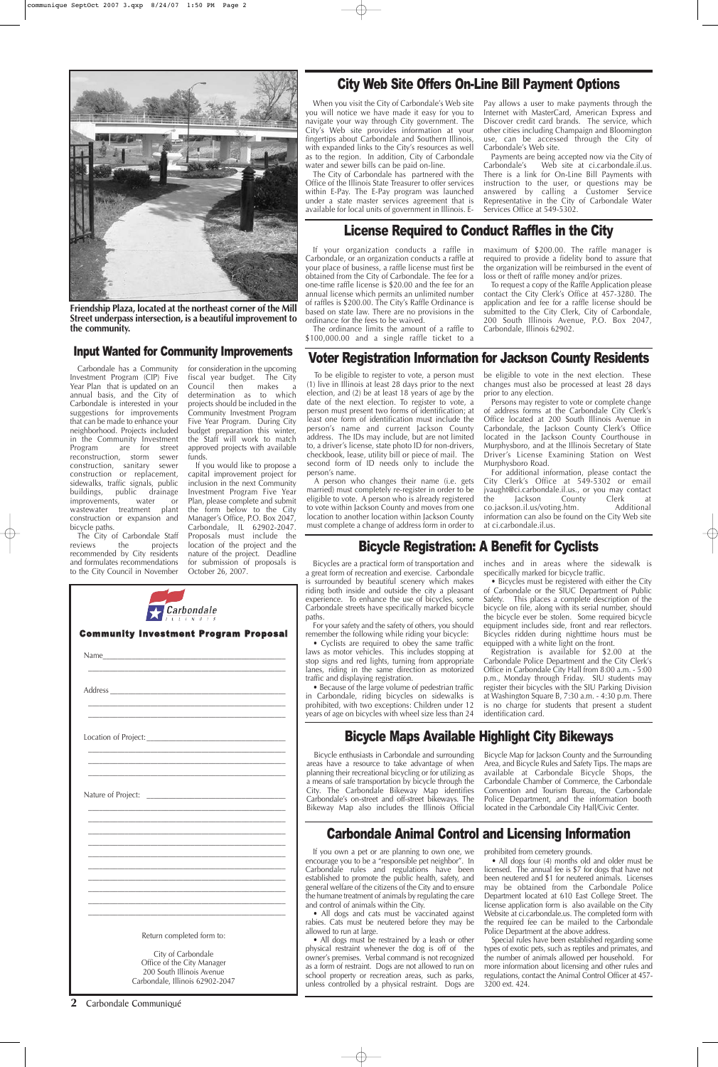If you own a pet or are planning to own one, we encourage you to be a "responsible pet neighbor". In Carbondale rules and regulations have been established to promote the public health, safety, and general welfare of the citizens of the City and to ensure the humane treatment of animals by regulating the care and control of animals within the City.

• All dogs must be restrained by a leash or other physical restraint whenever the dog is off of the owner's premises. Verbal command is not recognized as a form of restraint. Dogs are not allowed to run on school property or recreation areas, such as parks, unless controlled by a physical restraint. Dogs are

• All dogs and cats must be vaccinated against rabies. Cats must be neutered before they may be allowed to run at large.

prohibited from cemetery grounds.

• All dogs four (4) months old and older must be licensed. The annual fee is \$7 for dogs that have not been neutered and \$1 for neutered animals. Licenses may be obtained from the Carbondale Police Department located at 610 East College Street. The license application form is also available on the City Website at ci.carbondale.us. The completed form with the required fee can be mailed to the Carbondale Police Department at the above address.

Special rules have been established regarding some types of exotic pets, such as reptiles and primates, and the number of animals allowed per household. For more information about licensing and other rules and regulations, contact the Animal Control Officer at 457- 3200 ext. 424.

# Carbondale Animal Control and Licensing Information



**Friendship Plaza, located at the northeast corner of the Mill Street underpass intersection, is a beautiful improvement to the community.** 

**2** Carbondale Communiqué

Nature of Project:

### Bicycle Registration: A Benefit for Cyclists

Bicycles are a practical form of transportation and a great form of recreation and exercise. Carbondale is surrounded by beautiful scenery which makes riding both inside and outside the city a pleasant experience. To enhance the use of bicycles, some Carbondale streets have specifically marked bicycle paths.

For your safety and the safety of others, you should remember the following while riding your bicycle:

• Cyclists are required to obey the same traffic laws as motor vehicles. This includes stopping at stop signs and red lights, turning from appropriate lanes, riding in the same direction as motorized traffic and displaying registration.

• Because of the large volume of pedestrian traffic in Carbondale, riding bicycles on sidewalks is prohibited, with two exceptions: Children under 12 years of age on bicycles with wheel size less than 24 inches and in areas where the sidewalk is specifically marked for bicycle traffic.

• Bicycles must be registered with either the City of Carbondale or the SIUC Department of Public Safety. This places a complete description of the bicycle on file, along with its serial number, should the bicycle ever be stolen. Some required bicycle equipment includes side, front and rear reflectors. Bicycles ridden during nighttime hours must be equipped with a white light on the front.

Payments are being accepted now via the City of<br>Carbondale's Web site at ci.carbondale.il.us. Web site at ci.carbondale.il.us. There is a link for On-Line Bill Payments with instruction to the user, or questions may be answered by calling a Customer Service Representative in the City of Carbondale Water Services Office at 549-5302.

Registration is available for \$2.00 at the Carbondale Police Department and the City Clerk's Office in Carbondale City Hall from 8:00 a.m. - 5:00 p.m., Monday through Friday. SIU students may register their bicycles with the SIU Parking Division at Washington Square B, 7:30 a.m. - 4:30 p.m. There is no charge for students that present a student identification card.

### Input Wanted for Community Improvements

|                      | <b>Carbondale</b>                            |  |
|----------------------|----------------------------------------------|--|
|                      | <b>Community Investment Program Proposal</b> |  |
|                      |                                              |  |
|                      |                                              |  |
| Location of Project: |                                              |  |

Carbondale has a Community Investment Program (CIP) Five Year Plan that is updated on an annual basis, and the City of Carbondale is interested in your suggestions for improvements that can be made to enhance your neighborhood. Projects included in the Community Investment Program are for street reconstruction, storm sewer construction, sanitary sewer construction or replacement, sidewalks, traffic signals, public buildings, public drainage improvements, water or wastewater treatment plant construction or expansion and bicycle paths.

The City of Carbondale Staff reviews the projects recommended by City residents and formulates recommendations to the City Council in November

for consideration in the upcoming fiscal year budget. The City Council then makes a determination as to which projects should be included in the Community Investment Program Five Year Program. During City budget preparation this winter, the Staff will work to match approved projects with available funds.

If you would like to propose a capital improvement project for inclusion in the next Community Investment Program Five Year Plan, please complete and submit the form below to the City Manager's Office, P.O. Box 2047, Carbondale, IL 62902-2047. Proposals must include the location of the project and the nature of the project. Deadline for submission of proposals is October 26, 2007.

|  |  |  | <b>City Web Site Offers On-Line Bill Payment Options</b> |  |
|--|--|--|----------------------------------------------------------|--|
|--|--|--|----------------------------------------------------------|--|

When you visit the City of Carbondale's Web site you will notice we have made it easy for you to navigate your way through City government. The City's Web site provides information at your fingertips about Carbondale and Southern Illinois, with expanded links to the City's resources as well as to the region. In addition, City of Carbondale water and sewer bills can be paid on-line.

The City of Carbondale has partnered with the Office of the Illinois State Treasurer to offer services within E-Pay. The E-Pay program was launched under a state master services agreement that is available for local units of government in Illinois. E-

Pay allows a user to make payments through the Internet with MasterCard, American Express and Discover credit card brands. The service, which other cities including Champaign and Bloomington use, can be accessed through the City of Carbondale's Web site.

### License Required to Conduct Raffles in the City

If your organization conducts a raffle in Carbondale, or an organization conducts a raffle at your place of business, a raffle license must first be obtained from the City of Carbondale. The fee for a one-time raffle license is \$20.00 and the fee for an annual license which permits an unlimited number of raffles is \$200.00. The City's Raffle Ordinance is based on state law. There are no provisions in the ordinance for the fees to be waived.

The ordinance limits the amount of a raffle to \$100,000.00 and a single raffle ticket to a

maximum of \$200.00. The raffle manager is required to provide a fidelity bond to assure that the organization will be reimbursed in the event of loss or theft of raffle money and/or prizes.

To request a copy of the Raffle Application please contact the City Clerk's Office at 457-3280. The application and fee for a raffle license should be submitted to the City Clerk, City of Carbondale, 200 South Illinois Avenue, P.O. Box 2047, Carbondale, Illinois 62902.

# Bicycle Maps Available Highlight City Bikeways

\_\_\_\_\_\_\_\_\_\_\_\_\_\_\_\_\_\_\_\_\_\_\_\_\_\_\_\_\_\_\_\_\_\_\_\_\_\_\_\_\_\_\_\_\_\_\_\_\_\_\_\_\_\_ \_\_\_\_\_\_\_\_\_\_\_\_\_\_\_\_\_\_\_\_\_\_\_\_\_\_\_\_\_\_\_\_\_\_\_\_\_\_\_\_\_\_\_\_\_\_\_\_\_\_\_\_\_\_ \_\_\_\_\_\_\_\_\_\_\_\_\_\_\_\_\_\_\_\_\_\_\_\_\_\_\_\_\_\_\_\_\_\_\_\_\_\_\_\_\_\_\_\_\_\_\_\_\_\_\_\_\_\_

\_\_\_\_\_\_\_\_\_\_\_\_\_\_\_\_\_\_\_\_\_\_\_\_\_\_\_\_\_\_\_\_\_\_\_\_\_\_\_\_\_\_\_\_\_\_\_\_\_\_\_\_\_\_ \_\_\_\_\_\_\_\_\_\_\_\_\_\_\_\_\_\_\_\_\_\_\_\_\_\_\_\_\_\_\_\_\_\_\_\_\_\_\_\_\_\_\_\_\_\_\_\_\_\_\_\_\_\_ \_\_\_\_\_\_\_\_\_\_\_\_\_\_\_\_\_\_\_\_\_\_\_\_\_\_\_\_\_\_\_\_\_\_\_\_\_\_\_\_\_\_\_\_\_\_\_\_\_\_\_\_\_\_ \_\_\_\_\_\_\_\_\_\_\_\_\_\_\_\_\_\_\_\_\_\_\_\_\_\_\_\_\_\_\_\_\_\_\_\_\_\_\_\_\_\_\_\_\_\_\_\_\_\_\_\_\_\_ \_\_\_\_\_\_\_\_\_\_\_\_\_\_\_\_\_\_\_\_\_\_\_\_\_\_\_\_\_\_\_\_\_\_\_\_\_\_\_\_\_\_\_\_\_\_\_\_\_\_\_\_\_\_ \_\_\_\_\_\_\_\_\_\_\_\_\_\_\_\_\_\_\_\_\_\_\_\_\_\_\_\_\_\_\_\_\_\_\_\_\_\_\_\_\_\_\_\_\_\_\_\_\_\_\_\_\_\_ \_\_\_\_\_\_\_\_\_\_\_\_\_\_\_\_\_\_\_\_\_\_\_\_\_\_\_\_\_\_\_\_\_\_\_\_\_\_\_\_\_\_\_\_\_\_\_\_\_\_\_\_\_\_ \_\_\_\_\_\_\_\_\_\_\_\_\_\_\_\_\_\_\_\_\_\_\_\_\_\_\_\_\_\_\_\_\_\_\_\_\_\_\_\_\_\_\_\_\_\_\_\_\_\_\_\_\_\_ \_\_\_\_\_\_\_\_\_\_\_\_\_\_\_\_\_\_\_\_\_\_\_\_\_\_\_\_\_\_\_\_\_\_\_\_\_\_\_\_\_\_\_\_\_\_\_\_\_\_\_\_\_\_

\_\_\_\_\_\_\_\_\_\_\_\_\_\_\_\_\_\_\_\_\_\_\_\_\_\_\_\_\_\_\_\_\_\_\_\_\_\_\_\_\_\_\_\_\_\_\_\_\_\_\_\_\_\_ Return completed form to:

> City of Carbondale Office of the City Manager 200 South Illinois Avenue Carbondale, Illinois 62902-2047

### Voter Registration Information for Jackson County Residents

To be eligible to register to vote, a person must (1) live in Illinois at least 28 days prior to the next election, and (2) be at least 18 years of age by the date of the next election. To register to vote, a person must present two forms of identification; at least one form of identification must include the person's name and current Jackson County address. The IDs may include, but are not limited to, a driver's license, state photo ID for non-drivers, checkbook, lease, utility bill or piece of mail. The second form of ID needs only to include the person's name.

A person who changes their name (i.e. gets married) must completely re-register in order to be eligible to vote. A person who is already registered to vote within Jackson County and moves from one location to another location within Jackson County must complete a change of address form in order to be eligible to vote in the next election. These changes must also be processed at least 28 days prior to any election.

Persons may register to vote or complete change of address forms at the Carbondale City Clerk's Office located at 200 South Illinois Avenue in Carbondale, the Jackson County Clerk's Office located in the Jackson County Courthouse in Murphysboro, and at the Illinois Secretary of State Driver's License Examining Station on West Murphysboro Road.

For additional information, please contact the City Clerk's Office at 549-5302 or email jvaught@ci.carbondale.il.us., or you may contact the Jackson County Clerk at co.jackson.il.us/voting.htm. Additional information can also be found on the City Web site at ci.carbondale.il.us.

Bicycle enthusiasts in Carbondale and surrounding areas have a resource to take advantage of when planning their recreational bicycling or for utilizing as a means of safe transportation by bicycle through the City. The Carbondale Bikeway Map identifies Carbondale's on-street and off-street bikeways. The Bikeway Map also includes the Illinois Official

Bicycle Map for Jackson County and the Surrounding Area, and Bicycle Rules and Safety Tips. The maps are available at Carbondale Bicycle Shops, the Carbondale Chamber of Commerce, the Carbondale Convention and Tourism Bureau, the Carbondale Police Department, and the information booth located in the Carbondale City Hall/Civic Center.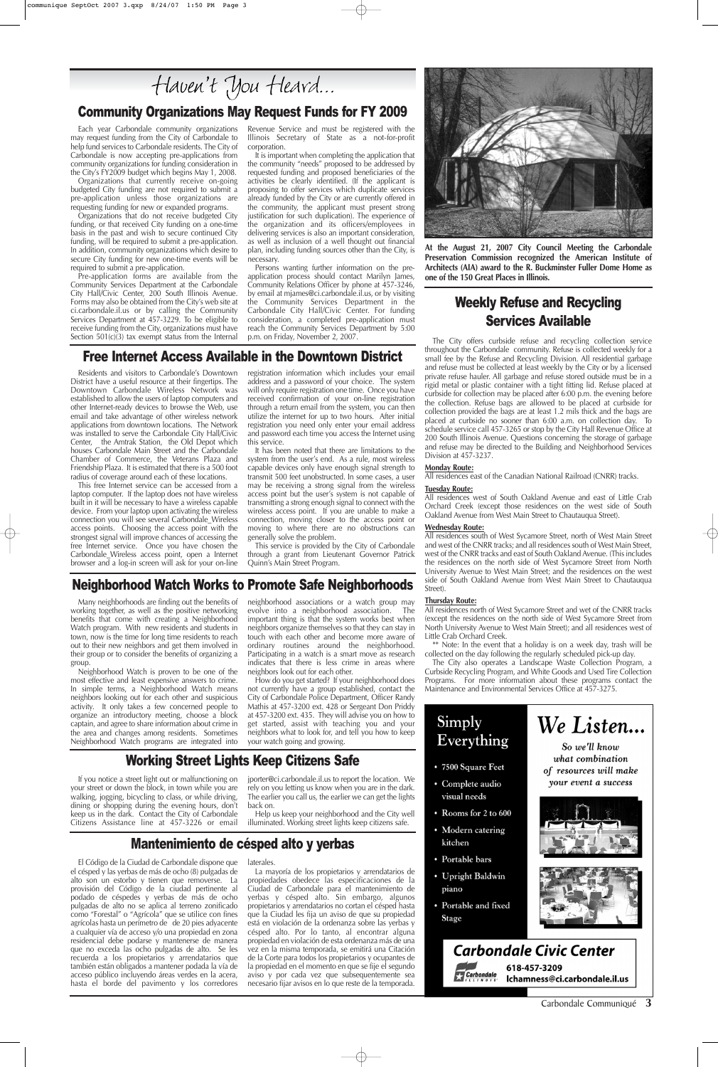### Community Organizations May Request Funds for FY 2009

Each year Carbondale community organizations may request funding from the City of Carbondale to help fund services to Carbondale residents. The City of Carbondale is now accepting pre-applications from community organizations for funding consideration in the City's FY2009 budget which begins May 1, 2008.

Pre-application forms are available from the Community Services Department at the Carbondale City Hall/Civic Center, 200 South Illinois Avenue. Forms may also be obtained from the City's web site at ci.carbondale.il.us or by calling the Community Services Department at 457-3229. To be eligible to receive funding from the City, organizations must have Section  $501(c)(3)$  tax exempt status from the Internal

Organizations that currently receive on-going budgeted City funding are not required to submit a pre-application unless those organizations are requesting funding for new or expanded programs.

Organizations that do not receive budgeted City funding, or that received City funding on a one-time basis in the past and wish to secure continued City funding, will be required to submit a pre-application. In addition, community organizations which desire to secure City funding for new one-time events will be required to submit a pre-application.

Revenue Service and must be registered with the Illinois Secretary of State as a not-for-profit corporation.

It is important when completing the application that the community "needs" proposed to be addressed by requested funding and proposed beneficiaries of the activities be clearly identified. (If the applicant is proposing to offer services which duplicate services already funded by the City or are currently offered in the community, the applicant must present strong justification for such duplication). The experience of the organization and its officers/employees in delivering services is also an important consideration, as well as inclusion of a well thought out financial plan, including funding sources other than the City, is necessary.

Persons wanting further information on the preapplication process should contact Marilyn James, Community Relations Officer by phone at 457-3246, by email at mjames@ci.carbondale.il.us, or by visiting the Community Services Department in the Carbondale City Hall/Civic Center. For funding consideration, a completed pre-application must reach the Community Services Department by 5:00 p.m. on Friday, November 2, 2007.

# Mantenimiento de césped alto y yerbas

### Neighborhood Watch Works to Promote Safe Neighborhoods

Many neighborhoods are finding out the benefits of working together, as well as the positive networking benefits that come with creating a Neighborhood Watch program. With new residents and students in town, now is the time for long time residents to reach out to their new neighbors and get them involved in their group or to consider the benefits of organizing a group.

Neighborhood Watch is proven to be one of the most effective and least expensive answers to crime. In simple terms, a Neighborhood Watch means neighbors looking out for each other and suspicious activity. It only takes a few concerned people to organize an introductory meeting, choose a block captain, and agree to share information about crime in the area and changes among residents. Sometimes Neighborhood Watch programs are integrated into neighborhood associations or a watch group may evolve into a neighborhood association. The important thing is that the system works best when neighbors organize themselves so that they can stay in touch with each other and become more aware of ordinary routines around the neighborhood. Participating in a watch is a smart move as research indicates that there is less crime in areas where neighbors look out for each other.

How do you get started? If your neighborhood does not currently have a group established, contact the City of Carbondale Police Department, Officer Randy Mathis at 457-3200 ext. 428 or Sergeant Don Priddy at 457-3200 ext. 435. They will advise you on how to get started, assist with teaching you and your neighbors what to look for, and tell you how to keep your watch going and growing.

Carbondale Communiqué **3**



**At the August 21, 2007 City Council Meeting the Carbondale Preservation Commission recognized the American Institute of Architects (AIA) award to the R. Buckminster Fuller Dome Home as one of the 150 Great Places in Illinois.**

El Código de la Ciudad de Carbondale dispone que el césped y las yerbas de más de ocho (8) pulgadas de alto son un estorbo y tienen que removerse. La provisión del Código de la ciudad pertinente al podado de céspedes y yerbas de más de ocho pulgadas de alto no se aplica al terreno zonificado como "Forestal" o "Agrícola" que se utilice con fines agrícolas hasta un perímetro de de 20 pies adyacente a cualquier vía de acceso y/o una propiedad en zona residencial debe podarse y mantenerse de manera que no exceda las ocho pulgadas de alto. Se les recuerda a los propietarios y arrendatarios que también están obligados a mantener podada la vía de acceso público incluyendo áreas verdes en la acera, hasta el borde del pavimento y los corredores

laterales.

La mayoría de los propietarios y arrendatarios de propiedades obedece las especificaciones de la Ciudad de Carbondale para el mantenimiento de yerbas y césped alto. Sin embargo, algunos propietarios y arrendatarios no cortan el césped hasta que la Ciudad les fija un aviso de que su propiedad está en violación de la ordenanza sobre las yerbas y césped alto. Por lo tanto, al encontrar alguna propiedad en violación de esta ordenanza más de una vez en la misma temporada, se emitirá una Citación de la Corte para todos los propietarios y ocupantes de la propiedad en el momento en que se fije el segundo aviso y por cada vez que subsequentemente sea necesario fijar avisos en lo que reste de la temporada.

- 
- 7500 Square Feet
- Complete audio visual needs
- Rooms for 2 to 600
- · Modern catering kitchen
- Portable bars
- · Upright Baldwin piano
- Portable and fixed **Stage**

what combination of resources will make your event a success





### **Carbondale Civic Center** 618-457-3209



Ichamness@ci.carbondale.il.us

### Free Internet Access Available in the Downtown District

Residents and visitors to Carbondale's Downtown District have a useful resource at their fingertips. The Downtown Carbondale Wireless Network was established to allow the users of laptop computers and other Internet-ready devices to browse the Web, use email and take advantage of other wireless network applications from downtown locations. The Network was installed to serve the Carbondale City Hall/Civic Center, the Amtrak Station, the Old Depot which houses Carbondale Main Street and the Carbondale Chamber of Commerce, the Veterans Plaza and Friendship Plaza. It is estimated that there is a 500 foot radius of coverage around each of these locations.

This free Internet service can be accessed from a laptop computer. If the laptop does not have wireless built in it will be necessary to have a wireless capable device. From your laptop upon activating the wireless connection you will see several Carbondale\_Wireless access points. Choosing the access point with the strongest signal will improve chances of accessing the free Internet service. Once you have chosen the Carbondale\_Wireless access point, open a Internet browser and a log-in screen will ask for your on-line

registration information which includes your email address and a password of your choice. The system will only require registration one time. Once you have received confirmation of your on-line registration through a return email from the system, you can then utilize the internet for up to two hours. After initial registration you need only enter your email address and password each time you access the Internet using this service.

It has been noted that there are limitations to the system from the user's end. As a rule, most wireless capable devices only have enough signal strength to transmit 500 feet unobstructed. In some cases, a user may be receiving a strong signal from the wireless access point but the user's system is not capable of transmitting a strong enough signal to connect with the wireless access point. If you are unable to make a connection, moving closer to the access point or moving to where there are no obstructions can generally solve the problem.

This service is provided by the City of Carbondale through a grant from Lieutenant Governor Patrick Quinn's Main Street Program.

The City offers curbside refuse and recycling collection service throughout the Carbondale community. Refuse is collected weekly for a small fee by the Refuse and Recycling Division. All residential garbage and refuse must be collected at least weekly by the City or by a licensed private refuse hauler. All garbage and refuse stored outside must be in a rigid metal or plastic container with a tight fitting lid. Refuse placed at curbside for collection may be placed after 6:00 p.m. the evening before the collection. Refuse bags are allowed to be placed at curbside for collection provided the bags are at least 1.2 mils thick and the bags are placed at curbside no sooner than 6:00 a.m. on collection day. To schedule service call 457-3265 or stop by the City Hall Revenue Office at 200 South Illinois Avenue. Questions concerning the storage of garbage and refuse may be directed to the Building and Neighborhood Services Division at 457-3237.

#### **Monday Route:**

All residences east of the Canadian National Railroad (CNRR) tracks.

#### **Tuesday Route:**

All residences west of South Oakland Avenue and east of Little Crab Orchard Creek (except those residences on the west side of South Oakland Avenue from West Main Street to Chautauqua Street).

#### **Wednesday Route:**

All residences south of West Sycamore Street, north of West Main Street and west of the CNRR tracks; and all residences south of West Main Street, west of the CNRR tracks and east of South Oakland Avenue. (This includes the residences on the north side of West Sycamore Street from North University Avenue to West Main Street; and the residences on the west side of South Oakland Avenue from West Main Street to Chautauqua Street).

#### **Thursday Route:**

All residences north of West Sycamore Street and wet of the CNRR tracks (except the residences on the north side of West Sycamore Street from North University Avenue to West Main Street); and all residences west of Little Crab Orchard Creek.

\*\* Note: In the event that a holiday is on a week day, trash will be collected on the day following the regularly scheduled pick-up day.

The City also operates a Landscape Waste Collection Program, a Curbside Recycling Program, and White Goods and Used Tire Collection Programs. For more information about these programs contact the Maintenance and Environmental Services Office at 457-3275.



# Weekly Refuse and Recycling Services Available

# Working Street Lights Keep Citizens Safe

If you notice a street light out or malfunctioning on your street or down the block, in town while you are walking, jogging, bicycling to class, or while driving, dining or shopping during the evening hours, don't keep us in the dark. Contact the City of Carbondale Citizens Assistance line at 457-3226 or email

jporter@ci.carbondale.il.us to report the location. We rely on you letting us know when you are in the dark. The earlier you call us, the earlier we can get the lights back on.

Help us keep your neighborhood and the City well illuminated. Working street lights keep citizens safe.

# Haven't You Heard...